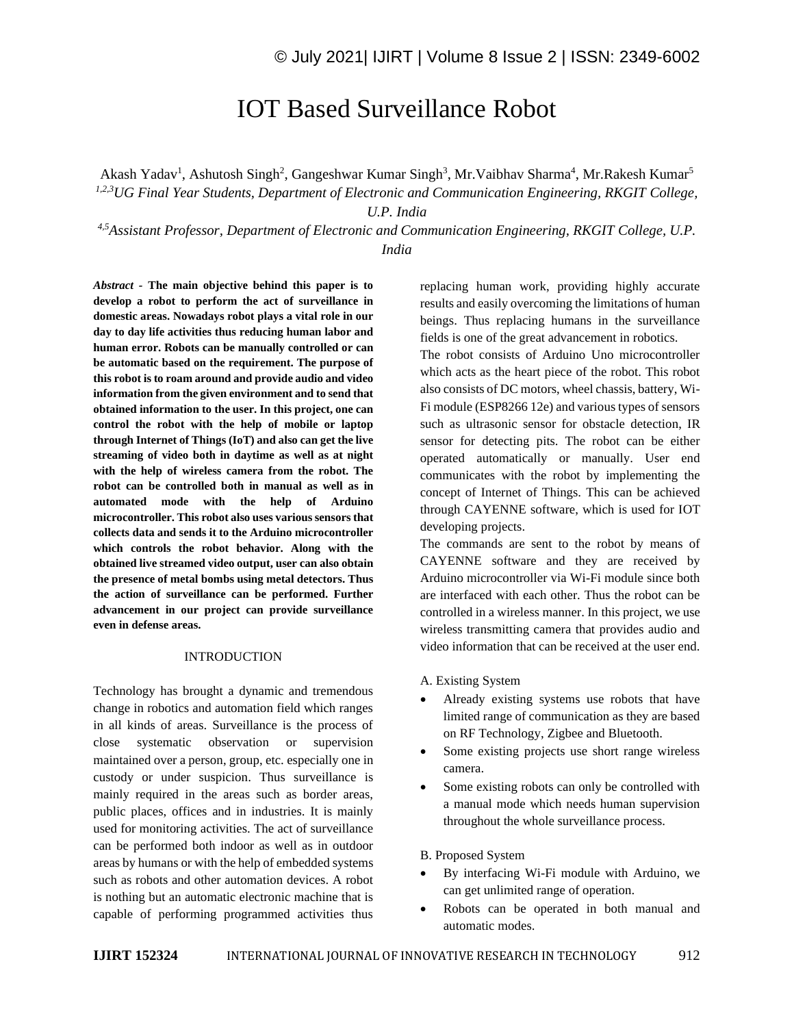# IOT Based Surveillance Robot

Akash Yadav<sup>1</sup>, Ashutosh Singh<sup>2</sup>, Gangeshwar Kumar Singh<sup>3</sup>, Mr. Vaibhav Sharma<sup>4</sup>, Mr. Rakesh Kumar<sup>5</sup> *1,2,3UG Final Year Students, Department of Electronic and Communication Engineering, RKGIT College,* 

*U.P. India*

*4,5Assistant Professor, Department of Electronic and Communication Engineering, RKGIT College, U.P. India*

*Abstract -* **The main objective behind this paper is to develop a robot to perform the act of surveillance in domestic areas. Nowadays robot plays a vital role in our day to day life activities thus reducing human labor and human error. Robots can be manually controlled or can be automatic based on the requirement. The purpose of this robot is to roam around and provide audio and video information from the given environment and to send that obtained information to the user. In this project, one can control the robot with the help of mobile or laptop through Internet of Things (IoT) and also can get the live streaming of video both in daytime as well as at night with the help of wireless camera from the robot. The robot can be controlled both in manual as well as in automated mode with the help of Arduino microcontroller. This robot also uses various sensors that collects data and sends it to the Arduino microcontroller which controls the robot behavior. Along with the obtained live streamed video output, user can also obtain the presence of metal bombs using metal detectors. Thus the action of surveillance can be performed. Further advancement in our project can provide surveillance even in defense areas.**

## INTRODUCTION

Technology has brought a dynamic and tremendous change in robotics and automation field which ranges in all kinds of areas. Surveillance is the process of close systematic observation or supervision maintained over a person, group, etc. especially one in custody or under suspicion. Thus surveillance is mainly required in the areas such as border areas, public places, offices and in industries. It is mainly used for monitoring activities. The act of surveillance can be performed both indoor as well as in outdoor areas by humans or with the help of embedded systems such as robots and other automation devices. A robot is nothing but an automatic electronic machine that is capable of performing programmed activities thus replacing human work, providing highly accurate results and easily overcoming the limitations of human beings. Thus replacing humans in the surveillance fields is one of the great advancement in robotics.

The robot consists of Arduino Uno microcontroller which acts as the heart piece of the robot. This robot also consists of DC motors, wheel chassis, battery, Wi-Fi module (ESP8266 12e) and various types of sensors such as ultrasonic sensor for obstacle detection, IR sensor for detecting pits. The robot can be either operated automatically or manually. User end communicates with the robot by implementing the concept of Internet of Things. This can be achieved through CAYENNE software, which is used for IOT developing projects.

The commands are sent to the robot by means of CAYENNE software and they are received by Arduino microcontroller via Wi-Fi module since both are interfaced with each other. Thus the robot can be controlled in a wireless manner. In this project, we use wireless transmitting camera that provides audio and video information that can be received at the user end.

- A. Existing System
- Already existing systems use robots that have limited range of communication as they are based on RF Technology, Zigbee and Bluetooth.
- Some existing projects use short range wireless camera.
- Some existing robots can only be controlled with a manual mode which needs human supervision throughout the whole surveillance process.

## B. Proposed System

- By interfacing Wi-Fi module with Arduino, we can get unlimited range of operation.
- Robots can be operated in both manual and automatic modes.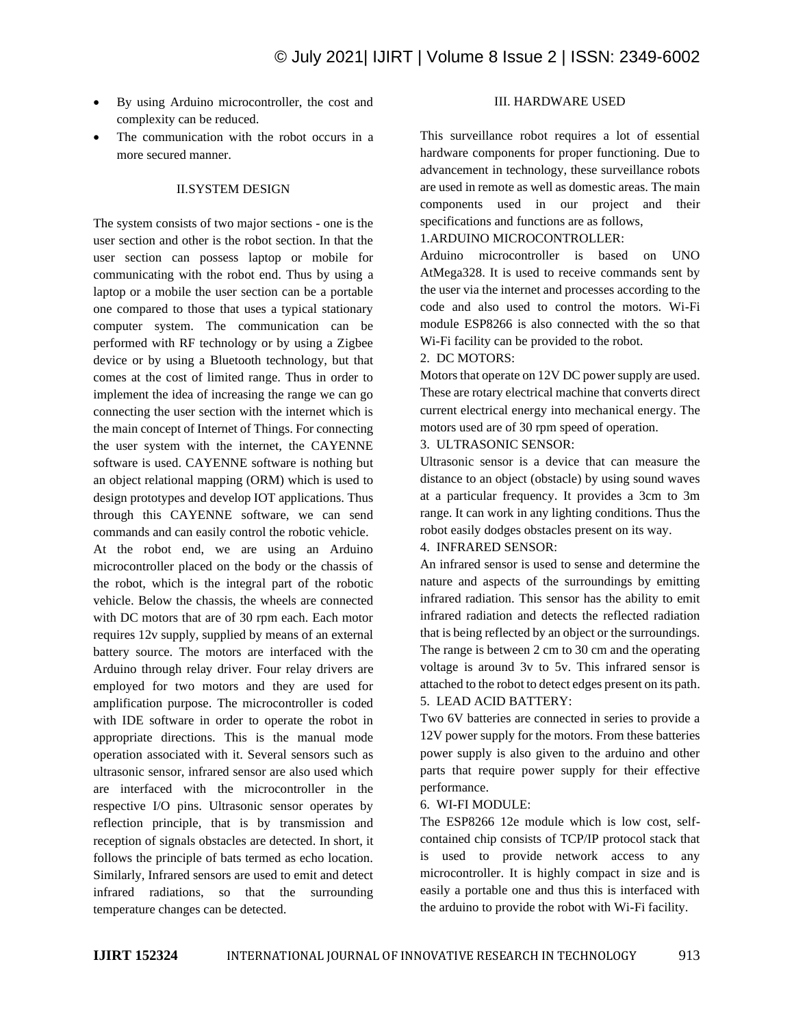- By using Arduino microcontroller, the cost and complexity can be reduced.
- The communication with the robot occurs in a more secured manner.

# II.SYSTEM DESIGN

The system consists of two major sections - one is the user section and other is the robot section. In that the user section can possess laptop or mobile for communicating with the robot end. Thus by using a laptop or a mobile the user section can be a portable one compared to those that uses a typical stationary computer system. The communication can be performed with RF technology or by using a Zigbee device or by using a Bluetooth technology, but that comes at the cost of limited range. Thus in order to implement the idea of increasing the range we can go connecting the user section with the internet which is the main concept of Internet of Things. For connecting the user system with the internet, the CAYENNE software is used. CAYENNE software is nothing but an object relational mapping (ORM) which is used to design prototypes and develop IOT applications. Thus through this CAYENNE software, we can send commands and can easily control the robotic vehicle. At the robot end, we are using an Arduino microcontroller placed on the body or the chassis of the robot, which is the integral part of the robotic vehicle. Below the chassis, the wheels are connected with DC motors that are of 30 rpm each. Each motor requires 12v supply, supplied by means of an external battery source. The motors are interfaced with the Arduino through relay driver. Four relay drivers are employed for two motors and they are used for amplification purpose. The microcontroller is coded with IDE software in order to operate the robot in appropriate directions. This is the manual mode operation associated with it. Several sensors such as ultrasonic sensor, infrared sensor are also used which are interfaced with the microcontroller in the respective I/O pins. Ultrasonic sensor operates by reflection principle, that is by transmission and reception of signals obstacles are detected. In short, it follows the principle of bats termed as echo location. Similarly, Infrared sensors are used to emit and detect infrared radiations, so that the surrounding temperature changes can be detected.

# III. HARDWARE USED

This surveillance robot requires a lot of essential hardware components for proper functioning. Due to advancement in technology, these surveillance robots are used in remote as well as domestic areas. The main components used in our project and their specifications and functions are as follows,

# 1.ARDUINO MICROCONTROLLER:

Arduino microcontroller is based on UNO AtMega328. It is used to receive commands sent by the user via the internet and processes according to the code and also used to control the motors. Wi-Fi module ESP8266 is also connected with the so that Wi-Fi facility can be provided to the robot.

## 2. DC MOTORS:

Motors that operate on 12V DC power supply are used. These are rotary electrical machine that converts direct current electrical energy into mechanical energy. The motors used are of 30 rpm speed of operation.

3. ULTRASONIC SENSOR:

Ultrasonic sensor is a device that can measure the distance to an object (obstacle) by using sound waves at a particular frequency. It provides a 3cm to 3m range. It can work in any lighting conditions. Thus the robot easily dodges obstacles present on its way.

4. INFRARED SENSOR:

An infrared sensor is used to sense and determine the nature and aspects of the surroundings by emitting infrared radiation. This sensor has the ability to emit infrared radiation and detects the reflected radiation that is being reflected by an object or the surroundings. The range is between 2 cm to 30 cm and the operating voltage is around 3v to 5v. This infrared sensor is attached to the robot to detect edges present on its path. 5. LEAD ACID BATTERY:

Two 6V batteries are connected in series to provide a 12V power supply for the motors. From these batteries power supply is also given to the arduino and other parts that require power supply for their effective performance.

#### 6. WI-FI MODULE:

The ESP8266 12e module which is low cost, selfcontained chip consists of TCP/IP protocol stack that is used to provide network access to any microcontroller. It is highly compact in size and is easily a portable one and thus this is interfaced with the arduino to provide the robot with Wi-Fi facility.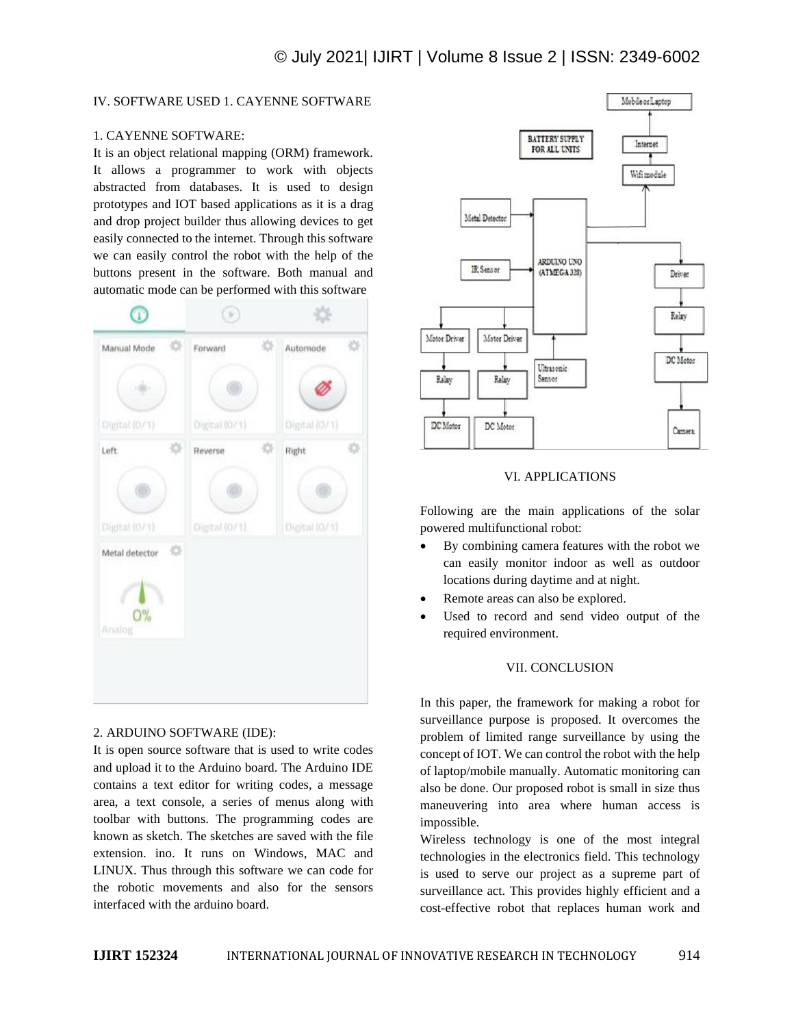# IV. SOFTWARE USED 1. CAYENNE SOFTWARE

# 1. CAYENNE SOFTWARE:

It is an object relational mapping (ORM) framework. It allows a programmer to work with objects abstracted from databases. It is used to design prototypes and IOT based applications as it is a drag and drop project builder thus allowing devices to get easily connected to the internet. Through this software we can easily control the robot with the help of the buttons present in the software. Both manual and automatic mode can be performed with this software



# 2. ARDUINO SOFTWARE (IDE):

It is open source software that is used to write codes and upload it to the Arduino board. The Arduino IDE contains a text editor for writing codes, a message area, a text console, a series of menus along with toolbar with buttons. The programming codes are known as sketch. The sketches are saved with the file extension. ino. It runs on Windows, MAC and LINUX. Thus through this software we can code for the robotic movements and also for the sensors interfaced with the arduino board.



## VI. APPLICATIONS

Following are the main applications of the solar powered multifunctional robot:

- By combining camera features with the robot we can easily monitor indoor as well as outdoor locations during daytime and at night.
- Remote areas can also be explored.
- Used to record and send video output of the required environment.

## VII. CONCLUSION

In this paper, the framework for making a robot for surveillance purpose is proposed. It overcomes the problem of limited range surveillance by using the concept of IOT. We can control the robot with the help of laptop/mobile manually. Automatic monitoring can also be done. Our proposed robot is small in size thus maneuvering into area where human access is impossible.

Wireless technology is one of the most integral technologies in the electronics field. This technology is used to serve our project as a supreme part of surveillance act. This provides highly efficient and a cost-effective robot that replaces human work and